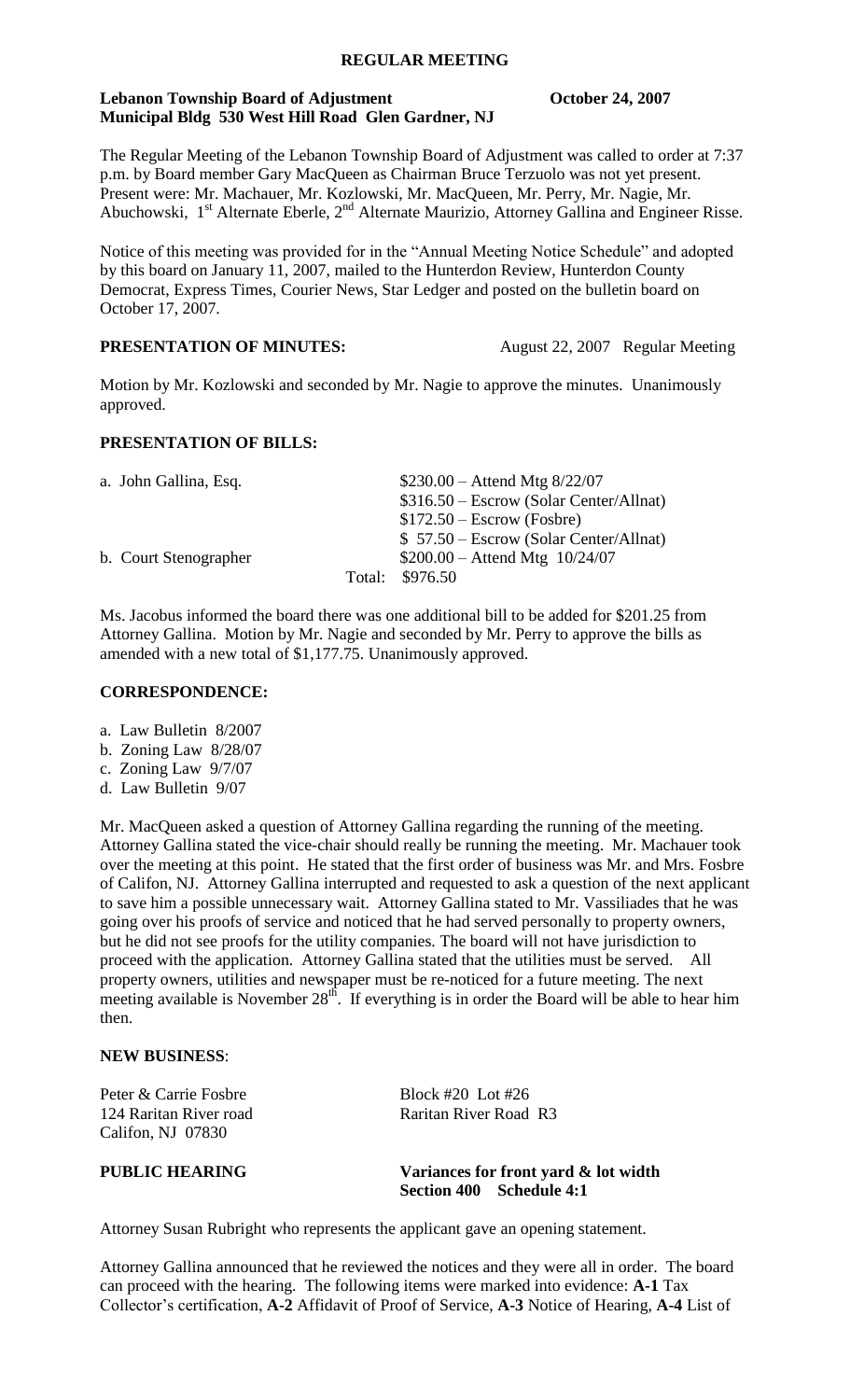# **REGULAR MEETING**

# **Lebanon Township Board of Adjustment Conservation Coronal Conservation Coronal Coronal Conservation Coronal Conservation Coronal Conservation Coronal Conservation Coronal Coronal Conservation Coronal Coronal Coronal Coron Municipal Bldg 530 West Hill Road Glen Gardner, NJ**

The Regular Meeting of the Lebanon Township Board of Adjustment was called to order at 7:37 p.m. by Board member Gary MacQueen as Chairman Bruce Terzuolo was not yet present. Present were: Mr. Machauer, Mr. Kozlowski, Mr. MacQueen, Mr. Perry, Mr. Nagie, Mr. Abuchowski, 1<sup>st</sup> Alternate Eberle, 2<sup>nd</sup> Alternate Maurizio, Attorney Gallina and Engineer Risse.

Notice of this meeting was provided for in the "Annual Meeting Notice Schedule" and adopted by this board on January 11, 2007, mailed to the Hunterdon Review, Hunterdon County Democrat, Express Times, Courier News, Star Ledger and posted on the bulletin board on October 17, 2007.

# **PRESENTATION OF MINUTES:** August 22, 2007 Regular Meeting

Motion by Mr. Kozlowski and seconded by Mr. Nagie to approve the minutes. Unanimously approved.

### **PRESENTATION OF BILLS:**

| a. John Gallina, Esq. | $$230.00 -$ Attend Mtg $8/22/07$        |  |  |
|-----------------------|-----------------------------------------|--|--|
|                       | \$316.50 – Escrow (Solar Center/Allnat) |  |  |
|                       | $$172.50 - Escrow$ (Fosbre)             |  |  |
|                       | $$57.50 - Escrow (Solar Center/Allnat)$ |  |  |
| b. Court Stenographer | $$200.00 -$ Attend Mtg $10/24/07$       |  |  |
|                       | Total: \$976.50                         |  |  |
|                       |                                         |  |  |

Ms. Jacobus informed the board there was one additional bill to be added for \$201.25 from Attorney Gallina. Motion by Mr. Nagie and seconded by Mr. Perry to approve the bills as amended with a new total of \$1,177.75. Unanimously approved.

## **CORRESPONDENCE:**

- a. Law Bulletin 8/2007
- b. Zoning Law 8/28/07
- c. Zoning Law 9/7/07
- d. Law Bulletin 9/07

Mr. MacQueen asked a question of Attorney Gallina regarding the running of the meeting. Attorney Gallina stated the vice-chair should really be running the meeting. Mr. Machauer took over the meeting at this point. He stated that the first order of business was Mr. and Mrs. Fosbre of Califon, NJ. Attorney Gallina interrupted and requested to ask a question of the next applicant to save him a possible unnecessary wait. Attorney Gallina stated to Mr. Vassiliades that he was going over his proofs of service and noticed that he had served personally to property owners, but he did not see proofs for the utility companies. The board will not have jurisdiction to proceed with the application. Attorney Gallina stated that the utilities must be served. All property owners, utilities and newspaper must be re-noticed for a future meeting. The next meeting available is November 28<sup>th</sup>. If everything is in order the Board will be able to hear him meeting available is November 28<sup>th</sup>. then.

#### **NEW BUSINESS**:

Peter & Carrie Fosbre<br>
124 Raritan River road<br>
124 Raritan River road<br>
124 Raritan River road 124 Raritan River road Califon, NJ 07830

**PUBLIC HEARING Variances for front yard & lot width Section 400 Schedule 4:1**

Attorney Susan Rubright who represents the applicant gave an opening statement.

Attorney Gallina announced that he reviewed the notices and they were all in order. The board can proceed with the hearing. The following items were marked into evidence: **A-1** Tax Collector's certification, **A-2** Affidavit of Proof of Service, **A-3** Notice of Hearing, **A-4** List of